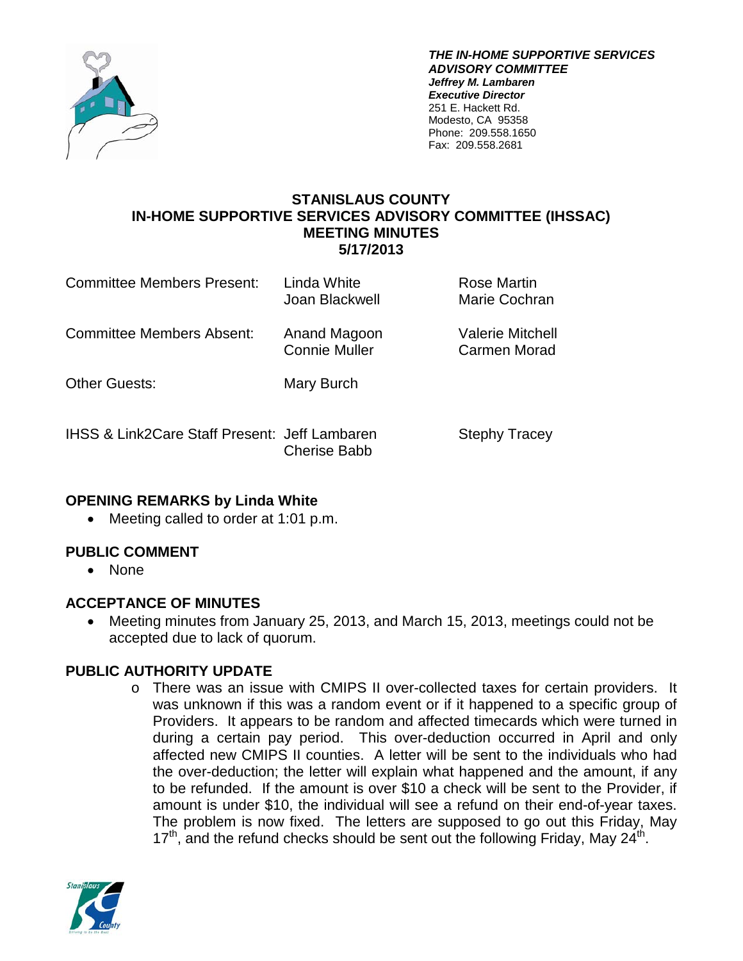

*THE IN-HOME SUPPORTIVE SERVICES ADVISORY COMMITTEE Jeffrey M. Lambaren Executive Director* 251 E. Hackett Rd. Modesto, CA 95358 Phone: 209.558.1650 Fax: 209.558.2681

### **STANISLAUS COUNTY IN-HOME SUPPORTIVE SERVICES ADVISORY COMMITTEE (IHSSAC) MEETING MINUTES 5/17/2013**

| Committee Members Present:                               | Linda White<br>Joan Blackwell        | Rose Martin<br>Marie Cochran            |
|----------------------------------------------------------|--------------------------------------|-----------------------------------------|
| Committee Members Absent:                                | Anand Magoon<br><b>Connie Muller</b> | <b>Valerie Mitchell</b><br>Carmen Morad |
| <b>Other Guests:</b>                                     | Mary Burch                           |                                         |
| <b>IHSS &amp; Link2Care Staff Present: Jeff Lambaren</b> | <b>Cherise Babb</b>                  | <b>Stephy Tracey</b>                    |

## **OPENING REMARKS by Linda White**

• Meeting called to order at 1:01 p.m.

## **PUBLIC COMMENT**

• None

## **ACCEPTANCE OF MINUTES**

• Meeting minutes from January 25, 2013, and March 15, 2013, meetings could not be accepted due to lack of quorum.

# **PUBLIC AUTHORITY UPDATE**

o There was an issue with CMIPS II over-collected taxes for certain providers. It was unknown if this was a random event or if it happened to a specific group of Providers. It appears to be random and affected timecards which were turned in during a certain pay period. This over-deduction occurred in April and only affected new CMIPS II counties. A letter will be sent to the individuals who had the over-deduction; the letter will explain what happened and the amount, if any to be refunded. If the amount is over \$10 a check will be sent to the Provider, if amount is under \$10, the individual will see a refund on their end-of-year taxes. The problem is now fixed. The letters are supposed to go out this Friday, May  $17<sup>th</sup>$ , and the refund checks should be sent out the following Friday, May 24<sup>th</sup>.

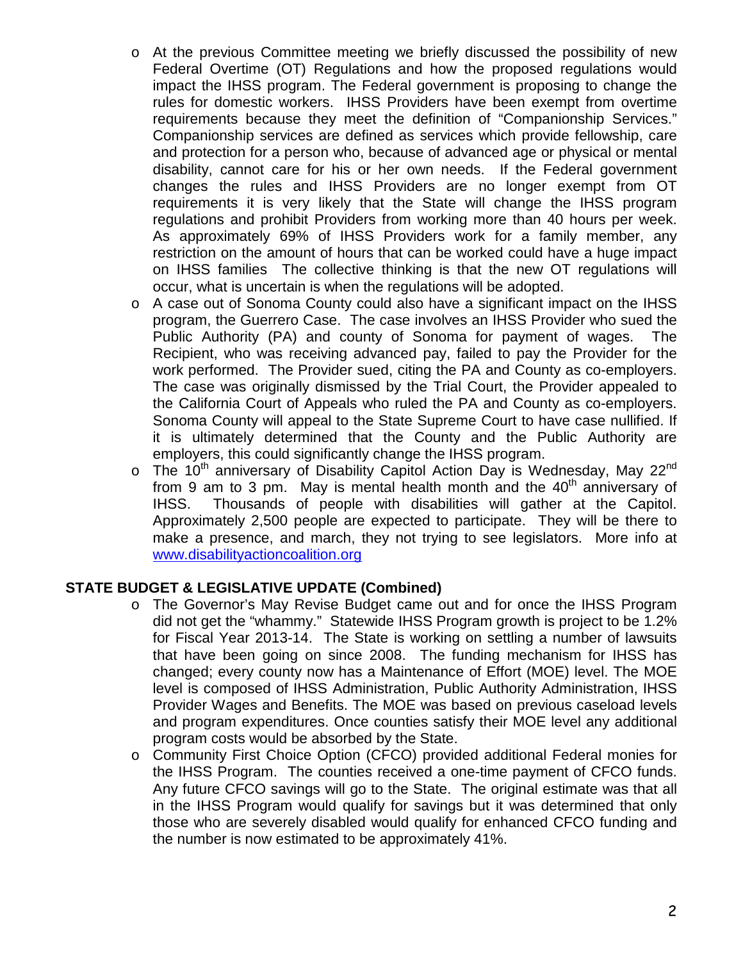- o At the previous Committee meeting we briefly discussed the possibility of new Federal Overtime (OT) Regulations and how the proposed regulations would impact the IHSS program. The Federal government is proposing to change the rules for domestic workers. IHSS Providers have been exempt from overtime requirements because they meet the definition of "Companionship Services." Companionship services are defined as services which provide fellowship, care and protection for a person who, because of advanced age or physical or mental disability, cannot care for his or her own needs. If the Federal government changes the rules and IHSS Providers are no longer exempt from OT requirements it is very likely that the State will change the IHSS program regulations and prohibit Providers from working more than 40 hours per week. As approximately 69% of IHSS Providers work for a family member, any restriction on the amount of hours that can be worked could have a huge impact on IHSS families The collective thinking is that the new OT regulations will occur, what is uncertain is when the regulations will be adopted.
- o A case out of Sonoma County could also have a significant impact on the IHSS program, the Guerrero Case. The case involves an IHSS Provider who sued the Public Authority (PA) and county of Sonoma for payment of wages. The Recipient, who was receiving advanced pay, failed to pay the Provider for the work performed. The Provider sued, citing the PA and County as co-employers. The case was originally dismissed by the Trial Court, the Provider appealed to the California Court of Appeals who ruled the PA and County as co-employers. Sonoma County will appeal to the State Supreme Court to have case nullified. If it is ultimately determined that the County and the Public Authority are employers, this could significantly change the IHSS program.
- $\circ$  The 10<sup>th</sup> anniversary of Disability Capitol Action Day is Wednesday, May 22<sup>nd</sup> from 9 am to 3 pm. May is mental health month and the  $40<sup>th</sup>$  anniversary of IHSS. Thousands of people with disabilities will gather at the Capitol. Approximately 2,500 people are expected to participate. They will be there to make a presence, and march, they not trying to see legislators. More info at [www.disabilityactioncoalition.org](http://www.disabilityactioncoalition.org/)

### **STATE BUDGET & LEGISLATIVE UPDATE (Combined)**

- o The Governor's May Revise Budget came out and for once the IHSS Program did not get the "whammy." Statewide IHSS Program growth is project to be 1.2% for Fiscal Year 2013-14. The State is working on settling a number of lawsuits that have been going on since 2008. The funding mechanism for IHSS has changed; every county now has a Maintenance of Effort (MOE) level. The MOE level is composed of IHSS Administration, Public Authority Administration, IHSS Provider Wages and Benefits. The MOE was based on previous caseload levels and program expenditures. Once counties satisfy their MOE level any additional program costs would be absorbed by the State.
- o Community First Choice Option (CFCO) provided additional Federal monies for the IHSS Program. The counties received a one-time payment of CFCO funds. Any future CFCO savings will go to the State. The original estimate was that all in the IHSS Program would qualify for savings but it was determined that only those who are severely disabled would qualify for enhanced CFCO funding and the number is now estimated to be approximately 41%.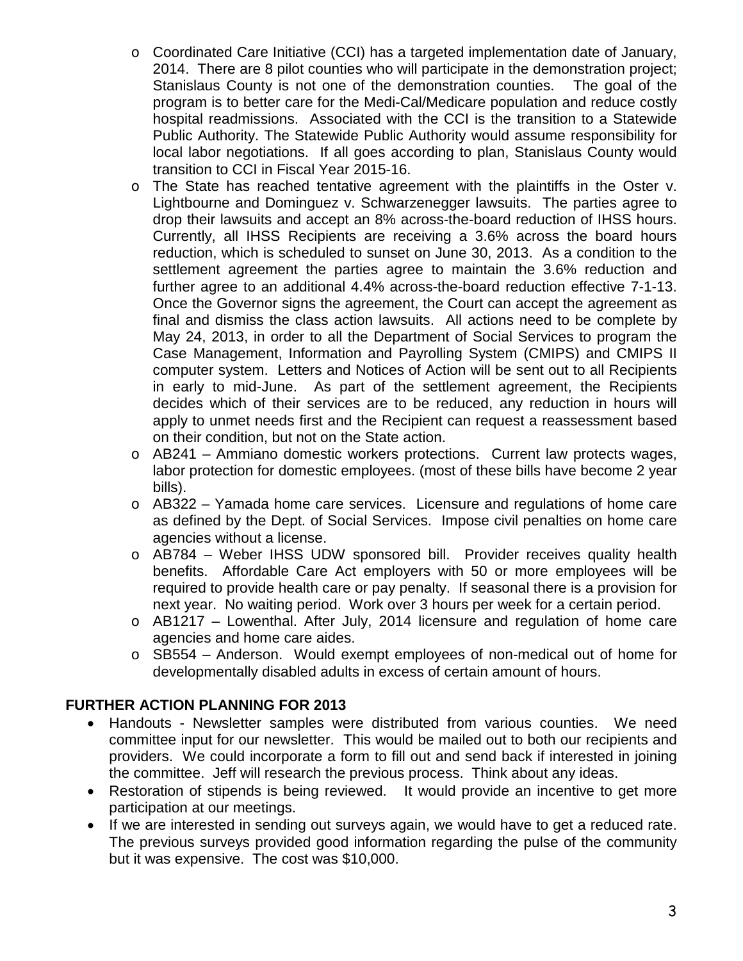- $\circ$  Coordinated Care Initiative (CCI) has a targeted implementation date of January, 2014. There are 8 pilot counties who will participate in the demonstration project; Stanislaus County is not one of the demonstration counties. The goal of the program is to better care for the Medi-Cal/Medicare population and reduce costly hospital readmissions. Associated with the CCI is the transition to a Statewide Public Authority. The Statewide Public Authority would assume responsibility for local labor negotiations. If all goes according to plan, Stanislaus County would transition to CCI in Fiscal Year 2015-16.
- o The State has reached tentative agreement with the plaintiffs in the Oster v. Lightbourne and Dominguez v. Schwarzenegger lawsuits. The parties agree to drop their lawsuits and accept an 8% across-the-board reduction of IHSS hours. Currently, all IHSS Recipients are receiving a 3.6% across the board hours reduction, which is scheduled to sunset on June 30, 2013. As a condition to the settlement agreement the parties agree to maintain the 3.6% reduction and further agree to an additional 4.4% across-the-board reduction effective 7-1-13. Once the Governor signs the agreement, the Court can accept the agreement as final and dismiss the class action lawsuits. All actions need to be complete by May 24, 2013, in order to all the Department of Social Services to program the Case Management, Information and Payrolling System (CMIPS) and CMIPS II computer system. Letters and Notices of Action will be sent out to all Recipients in early to mid-June. As part of the settlement agreement, the Recipients decides which of their services are to be reduced, any reduction in hours will apply to unmet needs first and the Recipient can request a reassessment based on their condition, but not on the State action.
- o AB241 Ammiano domestic workers protections. Current law protects wages, labor protection for domestic employees. (most of these bills have become 2 year bills).
- o AB322 Yamada home care services. Licensure and regulations of home care as defined by the Dept. of Social Services. Impose civil penalties on home care agencies without a license.
- o AB784 Weber IHSS UDW sponsored bill. Provider receives quality health benefits. Affordable Care Act employers with 50 or more employees will be required to provide health care or pay penalty. If seasonal there is a provision for next year. No waiting period. Work over 3 hours per week for a certain period.
- o AB1217 Lowenthal. After July, 2014 licensure and regulation of home care agencies and home care aides.
- o SB554 Anderson. Would exempt employees of non-medical out of home for developmentally disabled adults in excess of certain amount of hours.

## **FURTHER ACTION PLANNING FOR 2013**

- Handouts Newsletter samples were distributed from various counties. We need committee input for our newsletter. This would be mailed out to both our recipients and providers. We could incorporate a form to fill out and send back if interested in joining the committee. Jeff will research the previous process. Think about any ideas.
- Restoration of stipends is being reviewed. It would provide an incentive to get more participation at our meetings.
- If we are interested in sending out surveys again, we would have to get a reduced rate. The previous surveys provided good information regarding the pulse of the community but it was expensive. The cost was \$10,000.